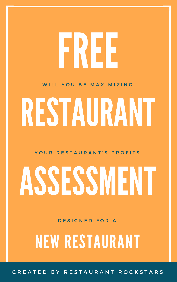# FREE

#### WILL YOU BE MAXIMIZING

# RESTAURANT

#### YOUR RESTAURANT'S PROFITS

# ASSESSMENT

#### D E S I G N E D F O R A

# NEW RESTAURANT

#### C R E A T E D B Y R E S T A U R A N T R O C K S T A R S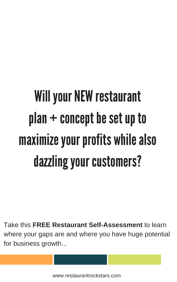# Will your NEW restaurant  $plan + concept be set up to$ maximize your profits while also

# dazzling your customers?

Take this FREE Restaurant Self-Assessment to learn where your gaps are and where you have huge potential for business growth...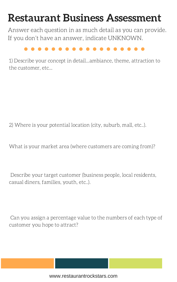Answer each question in as much detail as you can provide. If you don 't have an answer, indicate UNKNOWN.

## Restaurant Business Assessment

1) Describe your concept in detail...ambiance, theme, attraction to the customer, etc...

2) Where is your potential location (city, suburb, mall, etc..).

What is your market area (where customers are coming from)?

Describe your target customer (business people, local residents, casual diners, families, youth, etc..).

Can you assign a percentage value to the numbers of each type of customer you hope to attract?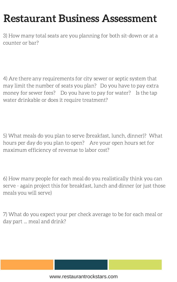3) How many total seats are you planning for both sit-down or at a counter or bar?

4) Are there any requirements for city sewer or septic system that may limit the number of seats you plan? Do you have to pay extra money for sewer fees? Do you have to pay for water? Is the tap water drinkable or does it require treatment?

5) What meals do you plan to serve (breakfast, lunch, dinner)? What hours per day do you plan to open? Are your open hours set for maximum efficiency of revenue to labor cost?

6) How many people for each meal do you realistically think you can serve - again project this for breakfast, lunch and dinner (or just those meals you will serve)

7) What do you expect your per check average to be for each meal or day part ... meal and drink?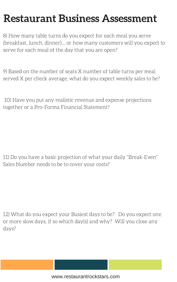8) How many table turns do you expect for each meal you serve (breakfast, lunch, dinner)... or how many customers will you expect to serve for each meal of the day that you are open?

9) Based on the number of seats X number of table turns per meal served X per check average, what do you expect weekly sales to be?

10) Have you put any realistic revenue and expense projections together or a Pro-Forma Financial Statement?

11) Do you have a basic projection of what your daily "Break-Even " Sales Number needs to be to cover your costs?

12) What do you expect your Busiest days to be? Do you expect one or more slow days, if so which day(s) and why? Will you close any days?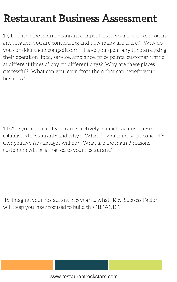13) Describe the main restaurant competitors in your neighborhood in any location you are considering and how many are there? Why do you consider them competition? Have you spent any time analyzing their operation (food, service, ambiance, price points, customer traffic at different times of day on different days? Why are these places successful? What can you learn from them that can benefit your business?

14) Are you confident you can effectively compete against these established restaurants and why? What do you think your concept's Competitive Advantages will be? What are the main 3 reasons

customers will be attracted to your restaurant?

15) Imagine your restaurant in 5 years... what "Key-Success Factors " will keep you lazer focused to build this "BRAND"?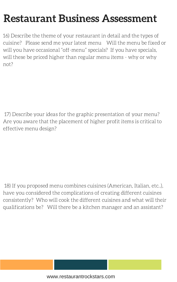16) Describe the theme of your restaurant in detail and the types of cuisine? Please send me your latest menu Will the menu be fixed or will you have occasional "off-menu" specials? If you have specials, will these be priced higher than regular menu items - why or why not?

17) Describe your ideas for the graphic presentation of your menu? Are you aware that the placement of higher profit items is critical to effective menu design?

18) If you proposed menu combines cuisines (American, Italian, etc..), have you considered the complications of creating different cuisines consistently? Who will cook the different cuisines and what will their qualifications be? Will there be a kitchen manager and an assistant?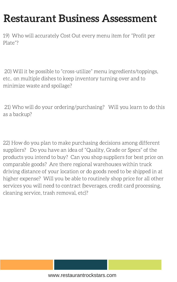19) Who will accurately Cost Out every menu item for "Profit per Plate"?

20) Will it be possible to " cross-utilize " menu ingredients/toppings, etc.. on multiple dishes to keep inventory turning over and to minimize waste and spoilage?

21) Who will do your ordering/purchasing? Will you learn to do this as a backup?

22) How do you plan to make purchasing decisions among different suppliers? Do you have an idea of "Quality, Grade or Specs " of the products you intend to buy? Can you shop suppliers for best price on comparable goods? Are there regional warehouses within truck driving distance of your location or do goods need to be shipped in at higher expense? Will you be able to routinely shop price for all other services you will need to contract (beverages, credit card processing, cleaning service, trash removal, etc)?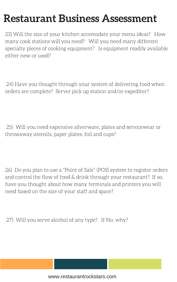23) Will the size of your kitchen accomodate your menu ideas? How many cook stations will you need? Will you need many different specialty pieces of cooking equipment? Is equipment readily available either new or used?

24) Have you thought through your system of delivering food when orders are complete? Server pick up station and/or expediter?

25) Will you need expensive silverware, plates and servicewear or throwaway utensils, paper plates, foil and cups?

26) Do you plan to use a "Point of Sale " (POS) system to register orders and control the flow of food & drink through your restaurant? If so, have you thought about how many terminals and printers you will need based on the size of your staff and space?

27) Will you serve alcohol of any type? If No, why?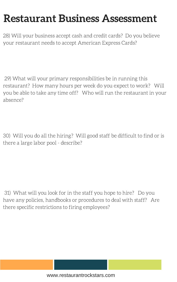28) Will your business accept cash and credit cards? Do you believe your restaurant needs to accept American Express Cards?

29) What will your primary responsibilities be in running this restaurant? How many hours per week do you expect to work? Will you be able to take any time off? Who will run the restaurant in your absence?

30) Will you do all the hiring? Will good staff be difficult to find or is there a large labor pool - describe?

#### 31) What will you look for in the staff you hope to hire? Do you have any policies, handbooks or procedures to deal with staff? Are

there specific restrictions to firing employees?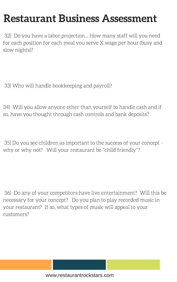32) Do you have a labor projection... How many staff will you need for each position for each meal you serve X wage per hour (busy and slow nights)?

33) Who will handle bookkeeping and payroll?

34) Will you allow anyone other than yourself to handle cash and if so, have you thought through cash controls and bank deposits?

35) Do you see children as important to the success of your concept why or why not? Will your restaurant be " child friendly "?

36) Do any of your competitors have live entertainment? Will this be necessary for your concept? Do you plan to play recorded music in your restaurant? If so, what types of music will appeal to your customers?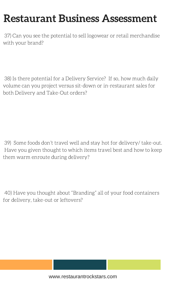37) Can you see the potential to sell logowear or retail merchandise with your brand?

38) Is there potential for a Delivery Service? If so, how much daily volume can you project versus sit-down or in-restaurant sales for both Delivery and Take-Out orders?

39) Some foods don 't travel well and stay hot for delivery/ take-out. Have you given thought to which items travel best and how to keep them warm enroute during delivery?

40) Have you thought about "Branding " all of your food containers for delivery, take-out or leftovers?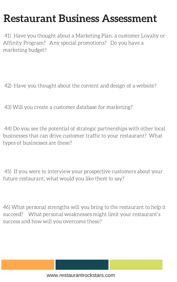41) Have you thought about a Marketing Plan, a customer Loyalty or Affinity Program? Any special promotions? Do you have a marketing budget?

42) Have you thought about the content and design of a website?

43) Will you create a customer database for marketing?

44) Do you see the potential of strategic partnerships with other local businesses that can drive customer traffic to your restaurant? What types of businesses are these?

45) If you were to interview your prospective customers about your future restaurant, what would you like them to say?

46) What personal strengths will you bring to the restaurant to help it succeed? What personal weaknesses might limit your restaurant' s success and how will you overcome these?